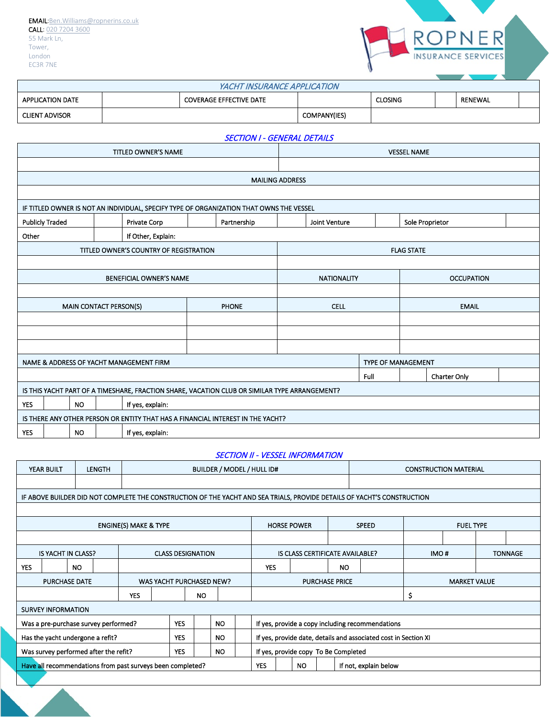

| YACHT INSURANCE APPLICATION |  |                                |                     |                |  |         |  |  |
|-----------------------------|--|--------------------------------|---------------------|----------------|--|---------|--|--|
| <b>APPLICATION DATE</b>     |  | <b>COVERAGE EFFECTIVE DATE</b> |                     | <b>CLOSING</b> |  | RENEWAL |  |  |
| <b>CLIENT ADVISOR</b>       |  |                                | <b>COMPANY(IES)</b> |                |  |         |  |  |

#### SECTION I - GENERAL DETAILS

|                                                                           |                                                                                               |           |                               | TITLED OWNER'S NAME                     |                                                                                         |                        | <b>VESSEL NAME</b> |                           |                   |                 |  |
|---------------------------------------------------------------------------|-----------------------------------------------------------------------------------------------|-----------|-------------------------------|-----------------------------------------|-----------------------------------------------------------------------------------------|------------------------|--------------------|---------------------------|-------------------|-----------------|--|
|                                                                           |                                                                                               |           |                               |                                         |                                                                                         |                        |                    |                           |                   |                 |  |
|                                                                           |                                                                                               |           |                               |                                         |                                                                                         | <b>MAILING ADDRESS</b> |                    |                           |                   |                 |  |
|                                                                           |                                                                                               |           |                               |                                         |                                                                                         |                        |                    |                           |                   |                 |  |
|                                                                           |                                                                                               |           |                               |                                         | IF TITLED OWNER IS NOT AN INDIVIDUAL, SPECIFY TYPE OF ORGANIZATION THAT OWNS THE VESSEL |                        |                    |                           |                   |                 |  |
| <b>Publicly Traded</b>                                                    |                                                                                               |           |                               | Private Corp                            | Partnership                                                                             |                        | Joint Venture      |                           |                   | Sole Proprietor |  |
| Other                                                                     |                                                                                               |           |                               | If Other, Explain:                      |                                                                                         |                        |                    |                           |                   |                 |  |
|                                                                           |                                                                                               |           |                               | TITLED OWNER'S COUNTRY OF REGISTRATION  |                                                                                         |                        |                    |                           | <b>FLAG STATE</b> |                 |  |
|                                                                           |                                                                                               |           |                               |                                         |                                                                                         |                        |                    |                           |                   |                 |  |
| <b>BENEFICIAL OWNER'S NAME</b><br><b>NATIONALITY</b><br><b>OCCUPATION</b> |                                                                                               |           |                               |                                         |                                                                                         |                        |                    |                           |                   |                 |  |
|                                                                           |                                                                                               |           |                               |                                         |                                                                                         |                        |                    |                           |                   |                 |  |
|                                                                           |                                                                                               |           | <b>MAIN CONTACT PERSON(S)</b> |                                         | <b>PHONE</b>                                                                            |                        | <b>CELL</b>        |                           |                   | <b>EMAIL</b>    |  |
|                                                                           |                                                                                               |           |                               |                                         |                                                                                         |                        |                    |                           |                   |                 |  |
|                                                                           |                                                                                               |           |                               |                                         |                                                                                         |                        |                    |                           |                   |                 |  |
|                                                                           |                                                                                               |           |                               |                                         |                                                                                         |                        |                    |                           |                   |                 |  |
|                                                                           |                                                                                               |           |                               | NAME & ADDRESS OF YACHT MANAGEMENT FIRM |                                                                                         |                        |                    | <b>TYPE OF MANAGEMENT</b> |                   |                 |  |
|                                                                           | Full<br>Charter Only                                                                          |           |                               |                                         |                                                                                         |                        |                    |                           |                   |                 |  |
|                                                                           | IS THIS YACHT PART OF A TIMESHARE, FRACTION SHARE, VACATION CLUB OR SIMILAR TYPE ARRANGEMENT? |           |                               |                                         |                                                                                         |                        |                    |                           |                   |                 |  |
| <b>YES</b>                                                                |                                                                                               | <b>NO</b> |                               | If yes, explain:                        |                                                                                         |                        |                    |                           |                   |                 |  |
|                                                                           |                                                                                               |           |                               |                                         | IS THERE ANY OTHER PERSON OR ENTITY THAT HAS A FINANCIAL INTEREST IN THE YACHT?         |                        |                    |                           |                   |                 |  |
| <b>YES</b>                                                                | <b>NO</b><br>If yes, explain:                                                                 |           |                               |                                         |                                                                                         |                        |                    |                           |                   |                 |  |

### SECTION II - VESSEL INFORMATION

|            | YEAR BUILT                | <b>LENGTH</b>                                                                                                                  |                                  |                                                                                       |            |                          |           | BUILDER / MODEL / HULL ID#<br><b>CONSTRUCTION MATERIAL</b> |                                      |                    |     |                       |                                                                                                                         |    |                     |  |
|------------|---------------------------|--------------------------------------------------------------------------------------------------------------------------------|----------------------------------|---------------------------------------------------------------------------------------|------------|--------------------------|-----------|------------------------------------------------------------|--------------------------------------|--------------------|-----|-----------------------|-------------------------------------------------------------------------------------------------------------------------|----|---------------------|--|
|            |                           |                                                                                                                                |                                  |                                                                                       |            |                          |           |                                                            |                                      |                    |     |                       |                                                                                                                         |    |                     |  |
|            |                           |                                                                                                                                |                                  |                                                                                       |            |                          |           |                                                            |                                      |                    |     |                       | IF ABOVE BUILDER DID NOT COMPLETE THE CONSTRUCTION OF THE YACHT AND SEA TRIALS, PROVIDE DETAILS OF YACHT'S CONSTRUCTION |    |                     |  |
|            |                           |                                                                                                                                |                                  |                                                                                       |            |                          |           |                                                            |                                      |                    |     |                       |                                                                                                                         |    |                     |  |
|            |                           |                                                                                                                                | <b>ENGINE(S) MAKE &amp; TYPE</b> |                                                                                       |            |                          |           |                                                            |                                      | <b>HORSE POWER</b> |     |                       | <b>SPEED</b>                                                                                                            |    | <b>FUEL TYPE</b>    |  |
|            |                           |                                                                                                                                |                                  |                                                                                       |            |                          |           |                                                            |                                      |                    |     |                       |                                                                                                                         |    |                     |  |
|            | <b>IS YACHT IN CLASS?</b> |                                                                                                                                |                                  | IMO#<br><b>CLASS DESIGNATION</b><br>IS CLASS CERTIFICATE AVAILABLE?<br><b>TONNAGE</b> |            |                          |           |                                                            |                                      |                    |     |                       |                                                                                                                         |    |                     |  |
| <b>YES</b> |                           | <b>NO</b>                                                                                                                      |                                  |                                                                                       |            |                          |           |                                                            | <b>YES</b>                           |                    |     | <b>NO</b>             |                                                                                                                         |    |                     |  |
|            | <b>PURCHASE DATE</b>      |                                                                                                                                |                                  |                                                                                       |            | WAS YACHT PURCHASED NEW? |           |                                                            |                                      |                    |     | <b>PURCHASE PRICE</b> |                                                                                                                         |    | <b>MARKET VALUE</b> |  |
|            |                           |                                                                                                                                | <b>YES</b>                       |                                                                                       |            | NO.                      |           |                                                            |                                      |                    |     |                       |                                                                                                                         | \$ |                     |  |
|            | <b>SURVEY INFORMATION</b> |                                                                                                                                |                                  |                                                                                       |            |                          |           |                                                            |                                      |                    |     |                       |                                                                                                                         |    |                     |  |
|            |                           | Was a pre-purchase survey performed?                                                                                           |                                  |                                                                                       | <b>YES</b> |                          | <b>NO</b> |                                                            |                                      |                    |     |                       | If yes, provide a copy including recommendations                                                                        |    |                     |  |
|            |                           | Has the yacht undergone a refit?<br><b>YES</b><br>If yes, provide date, details and associated cost in Section XI<br><b>NO</b> |                                  |                                                                                       |            |                          |           |                                                            |                                      |                    |     |                       |                                                                                                                         |    |                     |  |
|            |                           | Was survey performed after the refit?                                                                                          |                                  |                                                                                       | <b>YES</b> |                          | <b>NO</b> |                                                            | If yes, provide copy To Be Completed |                    |     |                       |                                                                                                                         |    |                     |  |
|            |                           | Have all recommendations from past surveys been completed?                                                                     |                                  |                                                                                       |            |                          |           |                                                            | <b>YES</b>                           |                    | NO. |                       | If not, explain below                                                                                                   |    |                     |  |
|            |                           |                                                                                                                                |                                  |                                                                                       |            |                          |           |                                                            |                                      |                    |     |                       |                                                                                                                         |    |                     |  |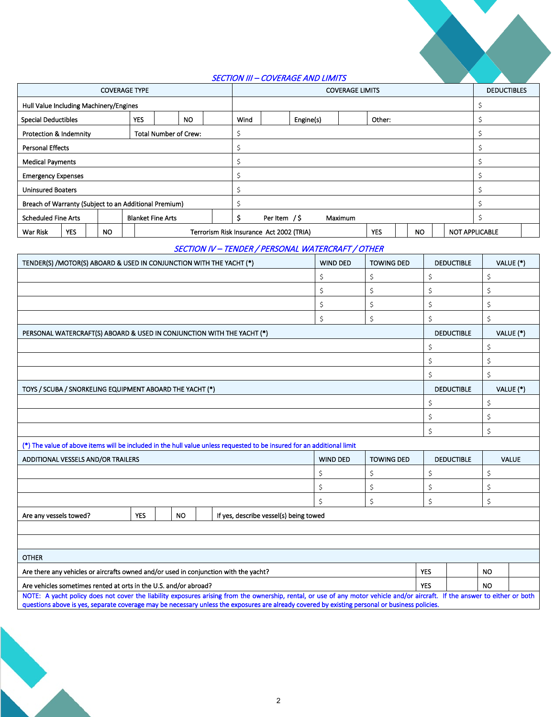### SECTION III – COVERAGE AND LIMITS

|                                                                                      |                                        |           |                                   |  |           | <b>COVERAGE LIMITS</b> |                             |                                          |  | <b>DEDUCTIBLES</b> |  |            |           |  |                       |  |  |
|--------------------------------------------------------------------------------------|----------------------------------------|-----------|-----------------------------------|--|-----------|------------------------|-----------------------------|------------------------------------------|--|--------------------|--|------------|-----------|--|-----------------------|--|--|
|                                                                                      | Hull Value Including Machinery/Engines |           |                                   |  |           |                        |                             |                                          |  |                    |  |            |           |  |                       |  |  |
| <b>Special Deductibles</b>                                                           |                                        |           | <b>YES</b>                        |  | <b>NO</b> |                        | Engine(s)<br>Wind<br>Other: |                                          |  |                    |  |            |           |  |                       |  |  |
| Protection & Indemnity                                                               |                                        |           | <b>Total Number of Crew:</b><br>Ś |  |           |                        |                             |                                          |  |                    |  |            |           |  |                       |  |  |
|                                                                                      | <b>Personal Effects</b>                |           |                                   |  |           |                        |                             |                                          |  |                    |  |            |           |  |                       |  |  |
|                                                                                      | <b>Medical Payments</b>                |           |                                   |  |           |                        |                             |                                          |  |                    |  |            |           |  |                       |  |  |
| <b>Emergency Expenses</b>                                                            |                                        |           |                                   |  |           |                        |                             |                                          |  |                    |  |            |           |  |                       |  |  |
| <b>Uninsured Boaters</b>                                                             |                                        |           |                                   |  |           |                        |                             |                                          |  |                    |  |            |           |  |                       |  |  |
| Breach of Warranty (Subject to an Additional Premium)                                |                                        |           |                                   |  |           |                        |                             |                                          |  |                    |  |            |           |  |                       |  |  |
| <b>Scheduled Fine Arts</b><br>Per Item $/$ \$<br><b>Blanket Fine Arts</b><br>Maximum |                                        |           |                                   |  |           |                        |                             |                                          |  |                    |  |            |           |  |                       |  |  |
| War Risk                                                                             | <b>YES</b>                             | <b>NO</b> |                                   |  |           |                        |                             | Terrorism Risk Insurance Act 2002 (TRIA) |  |                    |  | <b>YES</b> | <b>NO</b> |  | <b>NOT APPLICABLE</b> |  |  |
| SECTION IV - TENDER / PERSONAL WATERCRAET / OTHER                                    |                                        |           |                                   |  |           |                        |                             |                                          |  |                    |  |            |           |  |                       |  |  |

#### SECTION IV – TENDER / PERSONAL WATERCRAFT / OTHER

| TENDER(S) /MOTOR(S) ABOARD & USED IN CONJUNCTION WITH THE YACHT (*)                                                    |                                                                                                                                                                                                                                                                                                                                |           |  |                                        | <b>WIND DED</b> | <b>TOWING DED</b> |            | <b>DEDUCTIBLE</b> |           | VALUE (*)    |
|------------------------------------------------------------------------------------------------------------------------|--------------------------------------------------------------------------------------------------------------------------------------------------------------------------------------------------------------------------------------------------------------------------------------------------------------------------------|-----------|--|----------------------------------------|-----------------|-------------------|------------|-------------------|-----------|--------------|
|                                                                                                                        |                                                                                                                                                                                                                                                                                                                                |           |  |                                        | \$              | \$                | \$         |                   | \$        |              |
|                                                                                                                        |                                                                                                                                                                                                                                                                                                                                |           |  |                                        | \$              | \$                | Ś          |                   | \$        |              |
|                                                                                                                        |                                                                                                                                                                                                                                                                                                                                |           |  |                                        | \$              | \$                | Ś          |                   | \$        |              |
|                                                                                                                        |                                                                                                                                                                                                                                                                                                                                |           |  |                                        | \$              | \$                | Ś          |                   | \$        |              |
| PERSONAL WATERCRAFT(S) ABOARD & USED IN CONJUNCTION WITH THE YACHT (*)                                                 |                                                                                                                                                                                                                                                                                                                                |           |  |                                        |                 |                   |            | <b>DEDUCTIBLE</b> |           | VALUE (*)    |
|                                                                                                                        |                                                                                                                                                                                                                                                                                                                                |           |  |                                        |                 |                   | \$         |                   | \$        |              |
|                                                                                                                        |                                                                                                                                                                                                                                                                                                                                |           |  |                                        |                 |                   | \$         |                   | \$        |              |
|                                                                                                                        |                                                                                                                                                                                                                                                                                                                                |           |  |                                        |                 |                   | Ś          |                   | \$        |              |
| TOYS / SCUBA / SNORKELING EQUIPMENT ABOARD THE YACHT (*)                                                               |                                                                                                                                                                                                                                                                                                                                |           |  |                                        |                 |                   |            | <b>DEDUCTIBLE</b> |           | VALUE (*)    |
|                                                                                                                        |                                                                                                                                                                                                                                                                                                                                |           |  |                                        |                 |                   | Ś          |                   | \$        |              |
|                                                                                                                        |                                                                                                                                                                                                                                                                                                                                |           |  |                                        |                 |                   | Ś          |                   | \$        |              |
|                                                                                                                        |                                                                                                                                                                                                                                                                                                                                |           |  |                                        |                 |                   | Ś.         |                   | \$        |              |
| (*) The value of above items will be included in the hull value unless requested to be insured for an additional limit |                                                                                                                                                                                                                                                                                                                                |           |  |                                        |                 |                   |            |                   |           |              |
| ADDITIONAL VESSELS AND/OR TRAILERS                                                                                     |                                                                                                                                                                                                                                                                                                                                |           |  |                                        | <b>WIND DED</b> | <b>TOWING DED</b> |            | <b>DEDUCTIBLE</b> |           | <b>VALUE</b> |
|                                                                                                                        |                                                                                                                                                                                                                                                                                                                                |           |  |                                        | \$              | \$                | \$         |                   | \$        |              |
|                                                                                                                        |                                                                                                                                                                                                                                                                                                                                |           |  |                                        | \$              | \$                | \$         |                   | \$        |              |
|                                                                                                                        |                                                                                                                                                                                                                                                                                                                                |           |  |                                        | \$              | \$                | \$         |                   | \$        |              |
| Are any vessels towed?                                                                                                 | <b>YES</b>                                                                                                                                                                                                                                                                                                                     | <b>NO</b> |  | If yes, describe vessel(s) being towed |                 |                   |            |                   |           |              |
|                                                                                                                        |                                                                                                                                                                                                                                                                                                                                |           |  |                                        |                 |                   |            |                   |           |              |
|                                                                                                                        |                                                                                                                                                                                                                                                                                                                                |           |  |                                        |                 |                   |            |                   |           |              |
| <b>OTHER</b>                                                                                                           |                                                                                                                                                                                                                                                                                                                                |           |  |                                        |                 |                   |            |                   |           |              |
| Are there any vehicles or aircrafts owned and/or used in conjunction with the yacht?                                   |                                                                                                                                                                                                                                                                                                                                |           |  |                                        |                 |                   | <b>YES</b> |                   | <b>NO</b> |              |
| Are vehicles sometimes rented at orts in the U.S. and/or abroad?                                                       |                                                                                                                                                                                                                                                                                                                                |           |  |                                        |                 |                   | <b>YES</b> |                   | <b>NO</b> |              |
|                                                                                                                        | NOTE: A yacht policy does not cover the liability exposures arising from the ownership, rental, or use of any motor vehicle and/or aircraft. If the answer to either or both<br>questions above is yes, separate coverage may be necessary unless the exposures are already covered by existing personal or business policies. |           |  |                                        |                 |                   |            |                   |           |              |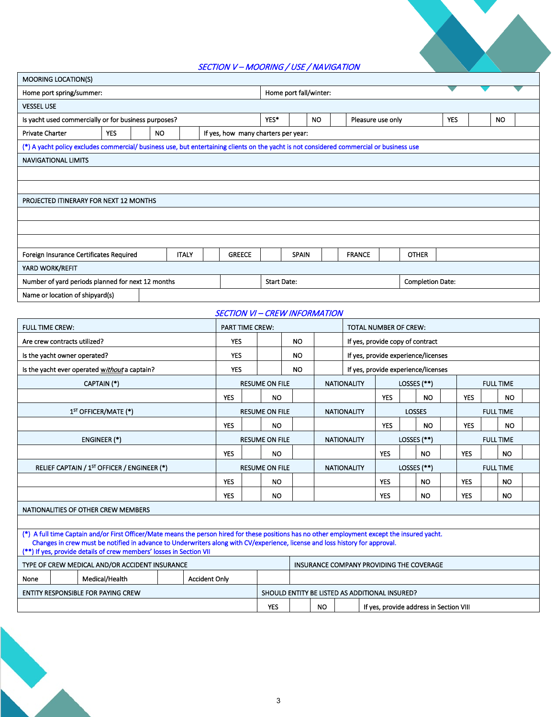## SECTION V – MOORING / USE / NAVIGATION

|                                                                                                    | --- <i>-----</i><br>$\frac{1}{2}$                                                                                                        |  |           |              |  |                                     |      |              |                        |  |                   |              |            |           |  |
|----------------------------------------------------------------------------------------------------|------------------------------------------------------------------------------------------------------------------------------------------|--|-----------|--------------|--|-------------------------------------|------|--------------|------------------------|--|-------------------|--------------|------------|-----------|--|
| <b>MOORING LOCATION(S)</b>                                                                         |                                                                                                                                          |  |           |              |  |                                     |      |              |                        |  |                   |              |            |           |  |
| Home port spring/summer:                                                                           |                                                                                                                                          |  |           |              |  |                                     |      |              | Home port fall/winter: |  |                   |              |            |           |  |
| <b>VESSEL USE</b>                                                                                  |                                                                                                                                          |  |           |              |  |                                     |      |              |                        |  |                   |              |            |           |  |
| Is yacht used commercially or for business purposes?                                               |                                                                                                                                          |  |           |              |  |                                     | YES* |              | <b>NO</b>              |  | Pleasure use only |              | <b>YES</b> | <b>NO</b> |  |
| <b>Private Charter</b>                                                                             | <b>YES</b>                                                                                                                               |  | <b>NO</b> |              |  | If yes, how many charters per year: |      |              |                        |  |                   |              |            |           |  |
|                                                                                                    | (*) A yacht policy excludes commercial/ business use, but entertaining clients on the yacht is not considered commercial or business use |  |           |              |  |                                     |      |              |                        |  |                   |              |            |           |  |
| <b>NAVIGATIONAL LIMITS</b>                                                                         |                                                                                                                                          |  |           |              |  |                                     |      |              |                        |  |                   |              |            |           |  |
|                                                                                                    |                                                                                                                                          |  |           |              |  |                                     |      |              |                        |  |                   |              |            |           |  |
|                                                                                                    |                                                                                                                                          |  |           |              |  |                                     |      |              |                        |  |                   |              |            |           |  |
|                                                                                                    | PROJECTED ITINERARY FOR NEXT 12 MONTHS                                                                                                   |  |           |              |  |                                     |      |              |                        |  |                   |              |            |           |  |
|                                                                                                    |                                                                                                                                          |  |           |              |  |                                     |      |              |                        |  |                   |              |            |           |  |
|                                                                                                    |                                                                                                                                          |  |           |              |  |                                     |      |              |                        |  |                   |              |            |           |  |
|                                                                                                    |                                                                                                                                          |  |           |              |  |                                     |      |              |                        |  |                   |              |            |           |  |
| Foreign Insurance Certificates Required                                                            |                                                                                                                                          |  |           | <b>ITALY</b> |  | <b>GREECE</b>                       |      | <b>SPAIN</b> |                        |  | <b>FRANCE</b>     | <b>OTHER</b> |            |           |  |
| YARD WORK/REFIT                                                                                    |                                                                                                                                          |  |           |              |  |                                     |      |              |                        |  |                   |              |            |           |  |
| Number of yard periods planned for next 12 months<br><b>Start Date:</b><br><b>Completion Date:</b> |                                                                                                                                          |  |           |              |  |                                     |      |              |                        |  |                   |              |            |           |  |
| Name or location of shipyard(s)                                                                    |                                                                                                                                          |  |           |              |  |                                     |      |              |                        |  |                   |              |            |           |  |
|                                                                                                    |                                                                                                                                          |  |           |              |  |                                     |      |              |                        |  |                   |              |            |           |  |
| <b>SECTION VI - CREW INFORMATION</b>                                                               |                                                                                                                                          |  |           |              |  |                                     |      |              |                        |  |                   |              |            |           |  |

| <b>FULL TIME CREW:</b>                                                                                                                                                                              | <b>PART TIME CREW:</b> |                       |                                             |           |  | TOTAL NUMBER OF CREW:                    |            |  |               |                  |                  |           |  |
|-----------------------------------------------------------------------------------------------------------------------------------------------------------------------------------------------------|------------------------|-----------------------|---------------------------------------------|-----------|--|------------------------------------------|------------|--|---------------|------------------|------------------|-----------|--|
| Are crew contracts utilized?                                                                                                                                                                        | <b>YES</b>             |                       |                                             | <b>NO</b> |  | If yes, provide copy of contract         |            |  |               |                  |                  |           |  |
| Is the yacht owner operated?                                                                                                                                                                        | <b>YES</b>             |                       |                                             | <b>NO</b> |  | If yes, provide experience/licenses      |            |  |               |                  |                  |           |  |
| Is the yacht ever operated without a captain?                                                                                                                                                       | <b>YES</b>             |                       |                                             | <b>NO</b> |  | If yes, provide experience/licenses      |            |  |               |                  |                  |           |  |
| CAPTAIN (*)                                                                                                                                                                                         |                        |                       | <b>RESUME ON FILE</b><br><b>NATIONALITY</b> |           |  |                                          |            |  | LOSSES (**)   | <b>FULL TIME</b> |                  |           |  |
|                                                                                                                                                                                                     | <b>YES</b>             |                       | <b>NO</b>                                   |           |  |                                          | <b>YES</b> |  | <b>NO</b>     | <b>YES</b>       |                  | <b>NO</b> |  |
| 1 <sup>ST</sup> OFFICER/MATE (*)                                                                                                                                                                    |                        | <b>RESUME ON FILE</b> |                                             |           |  | <b>NATIONALITY</b>                       |            |  | <b>LOSSES</b> |                  | <b>FULL TIME</b> |           |  |
|                                                                                                                                                                                                     | <b>YES</b>             |                       | <b>NO</b>                                   |           |  |                                          | <b>YES</b> |  | <b>NO</b>     | <b>YES</b>       |                  | <b>NO</b> |  |
| <b>ENGINEER (*)</b>                                                                                                                                                                                 |                        | <b>RESUME ON FILE</b> |                                             |           |  | <b>NATIONALITY</b>                       |            |  | LOSSES (**)   |                  | <b>FULL TIME</b> |           |  |
|                                                                                                                                                                                                     | <b>YES</b>             |                       | <b>NO</b>                                   |           |  |                                          | <b>YES</b> |  | <b>NO</b>     | <b>YES</b>       |                  | <b>NO</b> |  |
| RELIEF CAPTAIN / 1 <sup>ST</sup> OFFICER / ENGINEER (*)                                                                                                                                             |                        | <b>RESUME ON FILE</b> |                                             |           |  | <b>NATIONALITY</b>                       |            |  | LOSSES (**)   |                  | <b>FULL TIME</b> |           |  |
|                                                                                                                                                                                                     | <b>YES</b>             |                       | <b>NO</b>                                   |           |  |                                          | <b>YES</b> |  | NO.           | <b>YES</b>       |                  | <b>NO</b> |  |
|                                                                                                                                                                                                     | <b>YES</b>             |                       | <b>NO</b>                                   |           |  |                                          | <b>YES</b> |  | NO.           | <b>YES</b>       |                  | NO.       |  |
| NATIONALITIES OF OTHER CREW MEMBERS                                                                                                                                                                 |                        |                       |                                             |           |  |                                          |            |  |               |                  |                  |           |  |
|                                                                                                                                                                                                     |                        |                       |                                             |           |  |                                          |            |  |               |                  |                  |           |  |
| (*) A full time Captain and/or First Officer/Mate means the person hired for these positions has no other employment except the insured yacht.                                                      |                        |                       |                                             |           |  |                                          |            |  |               |                  |                  |           |  |
| Changes in crew must be notified in advance to Underwriters along with CV/experience, license and loss history for approval.<br>(**) If yes, provide details of crew members' losses in Section VII |                        |                       |                                             |           |  |                                          |            |  |               |                  |                  |           |  |
| TYPE OF CREW MEDICAL AND/OR ACCIDENT INSURANCE                                                                                                                                                      |                        |                       |                                             |           |  | INSURANCE COMPANY PROVIDING THE COVERAGE |            |  |               |                  |                  |           |  |
| Medical/Health<br><b>Accident Only</b><br>None                                                                                                                                                      |                        |                       |                                             |           |  |                                          |            |  |               |                  |                  |           |  |
| <b>ENTITY RESPONSIBLE FOR PAYING CREW</b><br>SHOULD ENTITY BE LISTED AS ADDITIONAL INSURED?                                                                                                         |                        |                       |                                             |           |  |                                          |            |  |               |                  |                  |           |  |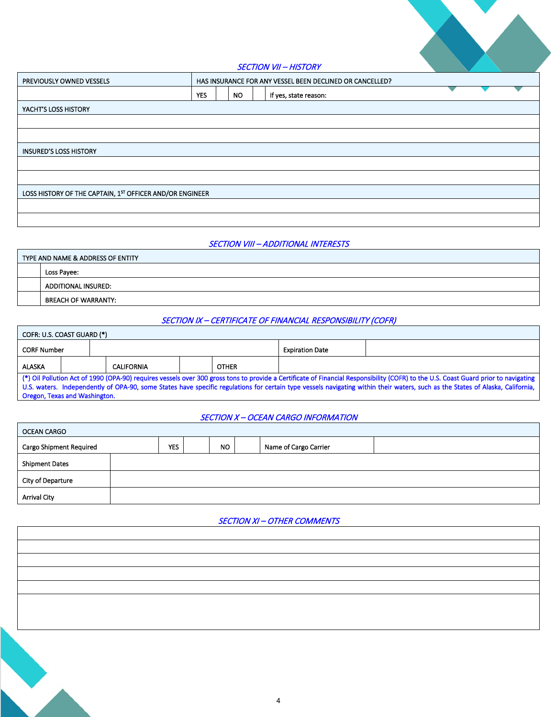

SECTION VII – HISTORY

|                                                          |            |     | ________              |  |  |
|----------------------------------------------------------|------------|-----|-----------------------|--|--|
| PREVIOUSLY OWNED VESSELS                                 |            |     |                       |  |  |
|                                                          | <b>YES</b> | NO. | If yes, state reason: |  |  |
| YACHT'S LOSS HISTORY                                     |            |     |                       |  |  |
|                                                          |            |     |                       |  |  |
|                                                          |            |     |                       |  |  |
| <b>INSURED'S LOSS HISTORY</b>                            |            |     |                       |  |  |
|                                                          |            |     |                       |  |  |
|                                                          |            |     |                       |  |  |
| LOSS HISTORY OF THE CAPTAIN, 1ST OFFICER AND/OR ENGINEER |            |     |                       |  |  |
|                                                          |            |     |                       |  |  |
|                                                          |            |     |                       |  |  |

### SECTION VIII – ADDITIONAL INTERESTS

| TYPE AND NAME & ADDRESS OF ENTITY |
|-----------------------------------|
| Loss Pavee:                       |
| ADDITIONAL INSURED:               |
| <b>BREACH OF WARRANTY:</b>        |

# SECTION IX – CERTIFICATE OF FINANCIAL RESPONSIBILITY (COFR)

| COFR: U.S. COAST GUARD (*) |                                                                                                                                                                                                                                                                                                                                                                       |  |  |  |  |                        |  |  |  |  |  |
|----------------------------|-----------------------------------------------------------------------------------------------------------------------------------------------------------------------------------------------------------------------------------------------------------------------------------------------------------------------------------------------------------------------|--|--|--|--|------------------------|--|--|--|--|--|
| <b>CORF Number</b>         |                                                                                                                                                                                                                                                                                                                                                                       |  |  |  |  | <b>Expiration Date</b> |  |  |  |  |  |
| ALASKA                     | <b>OTHER</b><br><b>CALIFORNIA</b>                                                                                                                                                                                                                                                                                                                                     |  |  |  |  |                        |  |  |  |  |  |
|                            | (*) Oil Pollution Act of 1990 (OPA-90) requires vessels over 300 gross tons to provide a Certificate of Financial Responsibility (COFR) to the U.S. Coast Guard prior to navigating<br>U.S. waters. Independently of OPA-90, some States have specific regulations for certain type vessels navigating within their waters, such as the States of Alaska, California, |  |  |  |  |                        |  |  |  |  |  |
|                            | Oregon, Texas and Washington.                                                                                                                                                                                                                                                                                                                                         |  |  |  |  |                        |  |  |  |  |  |

### SECTION X – OCEAN CARGO INFORMATION

| <b>OCEAN CARGO</b>             |            |     |                       |  |
|--------------------------------|------------|-----|-----------------------|--|
| <b>Cargo Shipment Required</b> | <b>YES</b> | NO. | Name of Cargo Carrier |  |
| <b>Shipment Dates</b>          |            |     |                       |  |
| City of Departure              |            |     |                       |  |
| <b>Arrival City</b>            |            |     |                       |  |

### SECTION XI – OTHER COMMENTS